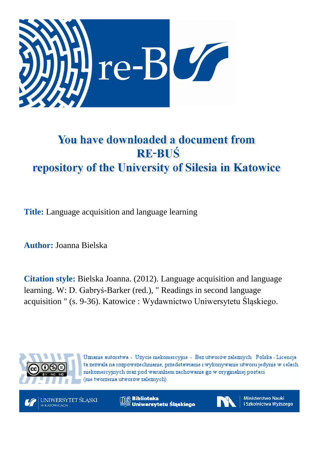

# You have downloaded a document from **RE-BUŚ** repository of the University of Silesia in Katowice

**Title:** Language acquisition and language learning

**Author:** Joanna Bielska

**Citation style:** Bielska Joanna. (2012). Language acquisition and language learning. W: D. Gabryś-Barker (red.), " Readings in second language acquisition " (s. 9-36). Katowice : Wydawnictwo Uniwersytetu Śląskiego.



Uznanie autorstwa - Użycie niekomercyjne - Bez utworów zależnych Polska - Licencja ta zezwala na rozpowszechnianie, przedstawianie i wykonywanie utworu jedynie w celach niekomercyjnych oraz pod warunkiem zachowania go w oryginalnej postaci (nie tworzenia utworów zależnych).



**Biblioteka** Uniwersytetu Śląskiego



**Ministerstwo Nauki** i Szkolnictwa Wyższego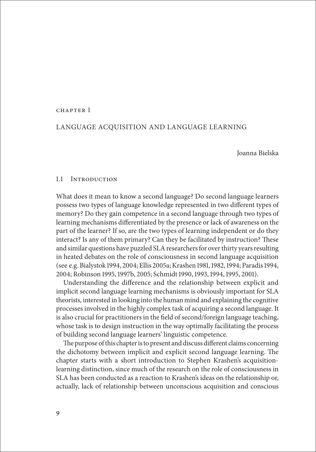#### CHAPTER 1

# Language acquisition and language learning

Joanna Bielska

## 1.1 Introduction

What does it mean to know a second language? Do second language learners possess two types of language knowledge represented in two different types of memory? Do they gain competence in a second language through two types of learning mechanisms differentiated by the presence or lack of awareness on the part of the learner? If so, are the two types of learning independent or do they interact? Is any of them primary? Can they be facilitated by instruction? These and similar questions have puzzled SLA researchers for over thirty years resulting in heated debates on the role of consciousness in second language acquisition (see e.g. Bialystok 1994, 2004; Ellis 2005a; Krashen 1981, 1982, 1994; Paradis 1994, 2004; Robinson 1995, 1997b, 2005; Schmidt 1990, 1993, 1994, 1995, 2001).

Understanding the difference and the relationship between explicit and implicit second language learning mechanisms is obviously important for SLA theorists, interested in looking into the human mind and explaining the cognitive processes involved in the highly complex task of acquiring a second language. It is also crucial for practitioners in the field of second/foreign language teaching, whose task is to design instruction in the way optimally facilitating the process of building second language learners' linguistic competence.

The purpose of this chapter is to present and discuss different claims concerning the dichotomy between implicit and explicit second language learning. The chapter starts with a short introduction to Stephen Krashen's acquisitionlearning distinction, since much of the research on the role of consciousness in SLA has been conducted as a reaction to Krashen's ideas on the relationship or, actually, lack of relationship between unconscious acquisition and conscious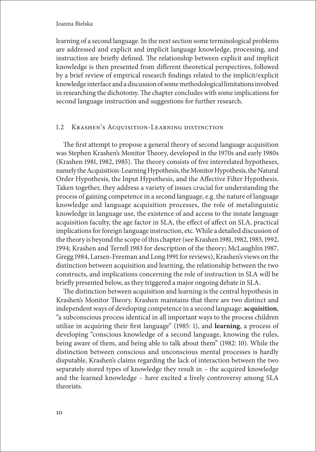learning of a second language. In the next section some terminological problems are addressed and explicit and implicit language knowledge, processing, and instruction are briefly defined. The relationship between explicit and implicit knowledge is then presented from different theoretical perspectives, followed by a brief review of empirical research findings related to the implicit/explicit knowledge interface and adiscussion of some methodological limitations involved in researching the dichotomy. The chapter concludes with some implications for second language instruction and suggestions for further research.

# 1.2 Krashen's Acquisition-Learning distinction

The first attempt to propose a general theory of second language acquisition was Stephen Krashen's Monitor Theory, developed in the 1970s and early 1980s (Krashen 1981, 1982, 1985). The theory consists of five interrelated hypotheses, namely the Acquisition-Learning Hypothesis, the Monitor Hypothesis, the Natural Order Hypothesis, the Input Hypothesis, and the Affective Filter Hypothesis. Taken together, they address a variety of issues crucial for understanding the process of gaining competence in a second language, e.g. the nature of language knowledge and language acquisition processes, the role of metalinguistic knowledge in language use, the existence of and access to the innate language acquisition faculty, the age factor in SLA, the effect of affect on SLA, practical implications for foreign language instruction, etc. While a detailed discussion of the theory is beyond the scope of this chapter (see Krashen 1981, 1982, 1985, 1992, 1994; Krashen and Terrell 1983 for description of the theory; McLaughlin 1987, Gregg 1984, Larsen-Freeman and Long 1991 for reviews), Krashen's views on the distinction between acquisition and learning, the relationship between the two constructs, and implications concerning the role of instruction in SLA will be briefly presented below, as they triggered a major ongoing debate in SLA.

The distinction between acquisition and learning is the central hypothesis in Krashen's Monitor Theory. Krashen maintains that there are two distinct and independent ways of developing competence in a second language: **acquisition**, "a subconscious process identical in all important ways to the process children utilize in acquiring their first language" (1985: 1), and **learning**, a process of developing "conscious knowledge of a second language, knowing the rules, being aware of them, and being able to talk about them" (1982: 10). While the distinction between conscious and unconscious mental processes is hardly disputable, Krashen's claims regarding the lack of interaction between the two separately stored types of knowledge they result in – the acquired knowledge and the learned knowledge – have excited a lively controversy among SLA theorists.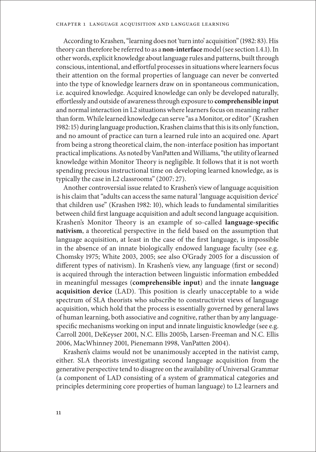According to Krashen, "learning does not 'turn into' acquisition" (1982: 83). His theory can therefore be referred to as a **non-interface** model (see section 1.4.1). In other words, explicit knowledge about language rules and patterns, built through conscious, intentional, and effortful processes in situations where learners focus their attention on the formal properties of language can never be converted into the type of knowledge learners draw on in spontaneous communication, i.e. acquired knowledge. Acquired knowledge can only be developed naturally, effortlessly and outside of awareness through exposure to **comprehensible input** and normal interaction in L2 situations where learners focus on meaning rather than form. While learned knowledge can serve "as a Monitor, or editor" (Krashen 1982: 15) during language production, Krashen claims that this is its only function, and no amount of practice can turn a learned rule into an acquired one. Apart from being a strong theoretical claim, the non-interface position has important practical implications. As noted by VanPatten and Williams, "the utility of learned knowledge within Monitor Theory is negligible. It follows that it is not worth spending precious instructional time on developing learned knowledge, as is typically the case in L2 classrooms" (2007: 27).

Another controversial issue related to Krashen's view of language acquisition is his claim that "adults can access the same natural 'language acquisition device' that children use" (Krashen 1982: 10), which leads to fundamental similarities between child first language acquisition and adult second language acquisition. Krashen's Monitor Theory is an example of so-called **language-specific nativism**, a theoretical perspective in the field based on the assumption that language acquisition, at least in the case of the first language, is impossible in the absence of an innate biologically endowed language faculty (see e.g. Chomsky 1975; White 2003, 2005; see also O'Grady 2005 for a discussion of different types of nativism). In Krashen's view, any language (first or second) is acquired through the interaction between linguistic information embedded in meaningful messages (**comprehensible input**) and the innate **language acquisition device** (LAD). This position is clearly unacceptable to a wide spectrum of SLA theorists who subscribe to constructivist views of language acquisition, which hold that the process is essentially governed by general laws of human learning, both associative and cognitive, rather than by any languagespecific mechanisms working on input and innate linguistic knowledge (see e.g. Carroll 2001, DeKeyser 2001, N.C. Ellis 2005b, Larsen-Freeman and N.C. Ellis 2006, MacWhinney 2001, Pienemann 1998, VanPatten 2004).

Krashen's claims would not be unanimously accepted in the nativist camp, either. SLA theorists investigating second language acquisition from the generative perspective tend to disagree on the availability of Universal Grammar (a component of LAD consisting of a system of grammatical categories and principles determining core properties of human language) to L2 learners and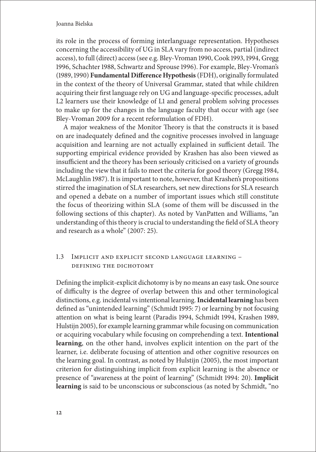its role in the process of forming interlanguage representation. Hypotheses concerning the accessibility of UG in SLA vary from no access, partial (indirect access), to full (direct) access (see e.g. Bley-Vroman 1990, Cook 1993, 1994, Gregg 1996, Schachter 1988, Schwartz and Sprouse 1996). For example, Bley-Vroman's (1989, 1990) **Fundamental Difference Hypothesis**(FDH), originally formulated in the context of the theory of Universal Grammar, stated that while children acquiring their first language rely on UG and language-specific processes, adult L2 learners use their knowledge of L1 and general problem solving processes to make up for the changes in the language faculty that occur with age (see Bley-Vroman 2009 for a recent reformulation of FDH).

A major weakness of the Monitor Theory is that the constructs it is based on are inadequately defined and the cognitive processes involved in language acquisition and learning are not actually explained in sufficient detail. The supporting empirical evidence provided by Krashen has also been viewed as insufficient and the theory has been seriously criticised on a variety of grounds including the view that it fails to meet the criteria for good theory (Gregg 1984, McLaughlin 1987). It is important to note, however, that Krashen's propositions stirred the imagination of SLA researchers, set new directions for SLA research and opened a debate on a number of important issues which still constitute the focus of theorizing within SLA (some of them will be discussed in the following sections of this chapter). As noted by VanPatten and Williams, "an understanding of this theory is crucial to understanding the field of SLA theory and research as a whole" (2007: 25).

# 1.3 Implicit and explicit second language learning – defining the dichotomy

Defining the implicit-explicit dichotomy is by no means an easy task. One source of difficulty is the degree of overlap between this and other terminological distinctions, e.g. incidental vs intentional learning. **Incidental learning** has been defined as "unintended learning" (Schmidt 1995: 7) or learning by not focusing attention on what is being learnt (Paradis 1994, Schmidt 1994, Krashen 1989, Hulstijn 2005), for example learning grammar while focusing on communication or acquiring vocabulary while focusing on comprehending a text. **Intentional learning**, on the other hand, involves explicit intention on the part of the learner, i.e. deliberate focusing of attention and other cognitive resources on the learning goal. In contrast, as noted by Hulstijn (2005), the most important criterion for distinguishing implicit from explicit learning is the absence or presence of "awareness at the point of learning" (Schmidt 1994: 20). **Implicit learning** is said to be unconscious or subconscious (as noted by Schmidt, "no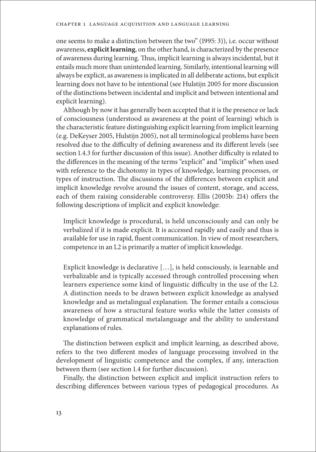one seems to make a distinction between the two" (1995: 3)), i.e. occur without awareness, **explicit learning**, on the other hand, is characterized by the presence of awareness during learning. Thus, implicit learning is always incidental, but it entails much more than unintended learning. Similarly, intentional learning will always be explicit, as awareness is implicated in all deliberate actions, but explicit learning does not have to be intentional (see Hulstijn 2005 for more discussion of the distinctions between incidental and implicit and between intentional and explicit learning).

Although by now it has generally been accepted that it is the presence or lack of consciousness (understood as awareness at the point of learning) which is the characteristic feature distinguishing explicit learning from implicit learning (e.g. DeKeyser 2005, Hulstijn 2005), not all terminological problems have been resolved due to the difficulty of defining awareness and its different levels (see section 1.4.3 for further discussion of this issue). Another difficulty is related to the differences in the meaning of the terms "explicit" and "implicit" when used with reference to the dichotomy in types of knowledge, learning processes, or types of instruction. The discussions of the differences between explicit and implicit knowledge revolve around the issues of content, storage, and access, each of them raising considerable controversy. Ellis (2005b: 214) offers the following descriptions of implicit and explicit knowledge:

Implicit knowledge is procedural, is held unconsciously and can only be verbalized if it is made explicit. It is accessed rapidly and easily and thus is available for use in rapid, fluent communication. In view of most researchers, competence in an L2 is primarily a matter of implicit knowledge.

Explicit knowledge is declarative […], is held consciously, is learnable and verbalizable and is typically accessed through controlled processing when learners experience some kind of linguistic difficulty in the use of the L2. A distinction needs to be drawn between explicit knowledge as analysed knowledge and as metalingual explanation. The former entails a conscious awareness of how a structural feature works while the latter consists of knowledge of grammatical metalanguage and the ability to understand explanations of rules.

The distinction between explicit and implicit learning, as described above, refers to the two different modes of language processing involved in the development of linguistic competence and the complex, if any, interaction between them (see section 1.4 for further discussion).

Finally, the distinction between explicit and implicit instruction refers to describing differences between various types of pedagogical procedures. As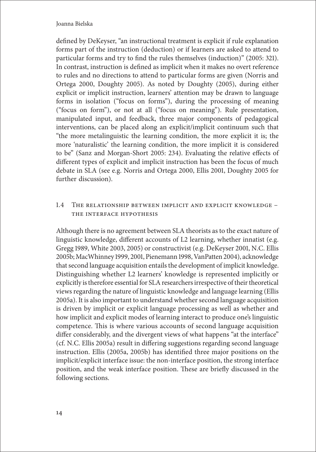defined by DeKeyser, "an instructional treatment is explicit if rule explanation forms part of the instruction (deduction) or if learners are asked to attend to particular forms and try to find the rules themselves (induction)" (2005: 321). In contrast, instruction is defined as implicit when it makes no overt reference to rules and no directions to attend to particular forms are given (Norris and Ortega 2000, Doughty 2005). As noted by Doughty (2005), during either explicit or implicit instruction, learners' attention may be drawn to language forms in isolation ("focus on forms"), during the processing of meaning ("focus on form"), or not at all ("focus on meaning"). Rule presentation, manipulated input, and feedback, three major components of pedagogical interventions, can be placed along an explicit/implicit continuum such that "the more metalinguistic the learning condition, the more explicit it is; the more 'naturalistic' the learning condition, the more implicit it is considered to be" (Sanz and Morgan-Short 2005: 234). Evaluating the relative effects of different types of explicit and implicit instruction has been the focus of much debate in SLA (see e.g. Norris and Ortega 2000, Ellis 2001, Doughty 2005 for further discussion).

# 1.4 The relationship between implicit and explicit knowledge – the interface hypothesis

Although there is no agreement between SLA theorists as to the exact nature of linguistic knowledge, different accounts of L2 learning, whether innatist (e.g. Gregg 1989, White 2003, 2005) or constructivist (e.g. DeKeyser 2001, N.C. Ellis 2005b; MacWhinney 1999, 2001, Pienemann 1998, VanPatten 2004), acknowledge that second language acquisition entails the development of implicit knowledge. Distinguishing whether L2 learners' knowledge is represented implicitly or explicitly is therefore essential for SLA researchers irrespective of their theoretical views regarding the nature of linguistic knowledge and language learning (Ellis 2005a). It is also important to understand whether second language acquisition is driven by implicit or explicit language processing as well as whether and how implicit and explicit modes of learning interact to produce one's linguistic competence. This is where various accounts of second language acquisition differ considerably, and the divergent views of what happens "at the interface" (cf. N.C. Ellis 2005a) result in differing suggestions regarding second language instruction. Ellis (2005a, 2005b) has identified three major positions on the implicit/explicit interface issue: the non-interface position, the strong interface position, and the weak interface position. These are briefly discussed in the following sections.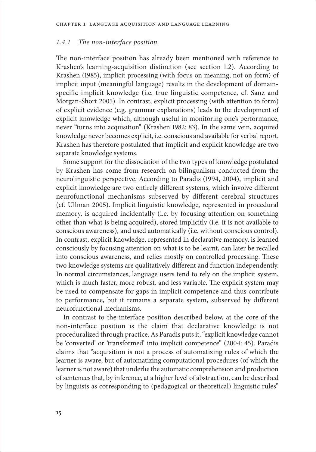## *1.4.1 The non-interface position*

The non-interface position has already been mentioned with reference to Krashen's learning-acquisition distinction (see section 1.2). According to Krashen (1985), implicit processing (with focus on meaning, not on form) of implicit input (meaningful language) results in the development of domainspecific implicit knowledge (i.e. true linguistic competence, cf. Sanz and Morgan-Short 2005). In contrast, explicit processing (with attention to form) of explicit evidence (e.g. grammar explanations) leads to the development of explicit knowledge which, although useful in monitoring one's performance, never "turns into acquisition" (Krashen 1982: 83). In the same vein, acquired knowledge never becomes explicit, i.e. conscious and available for verbal report. Krashen has therefore postulated that implicit and explicit knowledge are two separate knowledge systems.

Some support for the dissociation of the two types of knowledge postulated by Krashen has come from research on bilingualism conducted from the neurolinguistic perspective. According to Paradis (1994, 2004), implicit and explicit knowledge are two entirely different systems, which involve different neurofunctional mechanisms subserved by different cerebral structures (cf. Ullman 2005). Implicit linguistic knowledge, represented in procedural memory, is acquired incidentally (i.e. by focusing attention on something other than what is being acquired), stored implicitly (i.e. it is not available to conscious awareness), and used automatically (i.e. without conscious control). In contrast, explicit knowledge, represented in declarative memory, is learned consciously by focusing attention on what is to be learnt, can later be recalled into conscious awareness, and relies mostly on controlled processing. These two knowledge systems are qualitatively different and function independently. In normal circumstances, language users tend to rely on the implicit system, which is much faster, more robust, and less variable. The explicit system may be used to compensate for gaps in implicit competence and thus contribute to performance, but it remains a separate system, subserved by different neurofunctional mechanisms.

In contrast to the interface position described below, at the core of the non-interface position is the claim that declarative knowledge is not proceduralized through practice. As Paradis puts it, "explicit knowledge cannot be 'converted' or 'transformed' into implicit competence" (2004: 45). Paradis claims that "acquisition is not a process of automatizing rules of which the learner is aware, but of automatizing computational procedures (of which the learner is not aware) that underlie the automatic comprehension and production of sentences that, by inference, at a higher level of abstraction, can be described by linguists as corresponding to (pedagogical or theoretical) linguistic rules"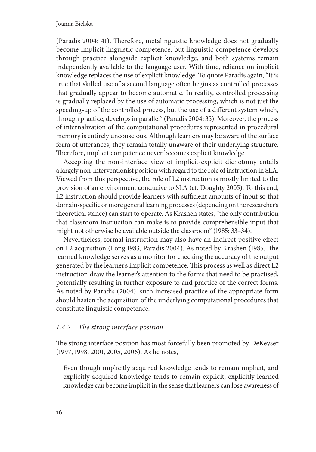(Paradis 2004: 41). Therefore, metalinguistic knowledge does not gradually become implicit linguistic competence, but linguistic competence develops through practice alongside explicit knowledge, and both systems remain independently available to the language user. With time, reliance on implicit knowledge replaces the use of explicit knowledge. To quote Paradis again, "it is true that skilled use of a second language often begins as controlled processes that gradually appear to become automatic. In reality, controlled processing is gradually replaced by the use of automatic processing, which is not just the speeding-up of the controlled process, but the use of a different system which, through practice, develops in parallel" (Paradis 2004: 35). Moreover, the process of internalization of the computational procedures represented in procedural memory is entirely unconscious. Although learners may be aware of the surface form of utterances, they remain totally unaware of their underlying structure. Therefore, implicit competence never becomes explicit knowledge.

Accepting the non-interface view of implicit-explicit dichotomy entails a largely non-interventionist position with regard to the role of instruction in SLA. Viewed from this perspective, the role of L2 instruction is mostly limited to the provision of an environment conducive to SLA (cf. Doughty 2005). To this end, L2 instruction should provide learners with sufficient amounts of input so that domain-specific or more general learning processes (depending on the researcher's theoretical stance) can start to operate. As Krashen states, "the only contribution that classroom instruction can make is to provide comprehensible input that might not otherwise be available outside the classroom" (1985: 33–34).

Nevertheless, formal instruction may also have an indirect positive effect on L2 acquisition (Long 1983, Paradis 2004). As noted by Krashen (1985), the learned knowledge serves as a monitor for checking the accuracy of the output generated by the learner's implicit competence. This process as well as direct L2 instruction draw the learner's attention to the forms that need to be practised, potentially resulting in further exposure to and practice of the correct forms. As noted by Paradis (2004), such increased practice of the appropriate form should hasten the acquisition of the underlying computational procedures that constitute linguistic competence.

# *1.4.2 The strong interface position*

The strong interface position has most forcefully been promoted by DeKeyser (1997, 1998, 2001, 2005, 2006). As he notes,

Even though implicitly acquired knowledge tends to remain implicit, and explicitly acquired knowledge tends to remain explicit, explicitly learned knowledge can become implicit in the sense that learners can lose awareness of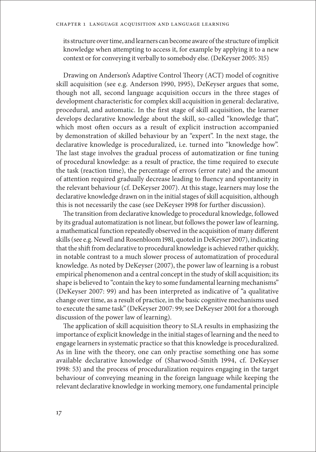its structure over time, and learners can become aware of the structure of implicit knowledge when attempting to access it, for example by applying it to a new context or for conveying it verbally to somebody else. (DeKeyser 2005: 315)

Drawing on Anderson's Adaptive Control Theory (ACT) model of cognitive skill acquisition (see e.g. Anderson 1990, 1995), DeKeyser argues that some, though not all, second language acquisition occurs in the three stages of development characteristic for complex skill acquisition in general: declarative, procedural, and automatic. In the first stage of skill acquisition, the learner develops declarative knowledge about the skill, so-called "knowledge that", which most often occurs as a result of explicit instruction accompanied by demonstration of skilled behaviour by an "expert". In the next stage, the declarative knowledge is proceduralized, i.e. turned into "knowledge how". The last stage involves the gradual process of automatization or fine tuning of procedural knowledge: as a result of practice, the time required to execute the task (reaction time), the percentage of errors (error rate) and the amount of attention required gradually decrease leading to fluency and spontaneity in the relevant behaviour (cf. DeKeyser 2007). At this stage, learners may lose the declarative knowledge drawn on in the initial stages of skill acquisition, although this is not necessarily the case (see DeKeyser 1998 for further discussion).

The transition from declarative knowledge to procedural knowledge, followed by its gradual automatization is not linear, but follows the power law of learning, a mathematical function repeatedly observed in the acquisition of many different skills (see e.g. Newell and Rosenbloom 1981, quoted in DeKeyser 2007), indicating that the shift from declarative to procedural knowledge is achieved rather quickly, in notable contrast to a much slower process of automatization of procedural knowledge. As noted by DeKeyser (2007), the power law of learning is a robust empirical phenomenon and a central concept in the study of skill acquisition; its shape is believed to "contain the key to some fundamental learning mechanisms" (DeKeyser 2007: 99) and has been interpreted as indicative of "a qualitative change over time, as a result of practice, in the basic cognitive mechanisms used to execute the same task" (DeKeyser 2007: 99; see DeKeyser 2001 for a thorough discussion of the power law of learning).

The application of skill acquisition theory to SLA results in emphasizing the importance of explicit knowledge in the initial stages of learning and the need to engage learners in systematic practice so that this knowledge is proceduralized. As in line with the theory, one can only practise something one has some available declarative knowledge of (Sharwood-Smith 1994, cf. DeKeyser 1998: 53) and the process of proceduralization requires engaging in the target behaviour of conveying meaning in the foreign language while keeping the relevant declarative knowledge in working memory, one fundamental principle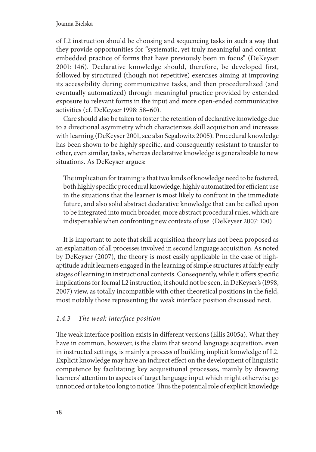of L2 instruction should be choosing and sequencing tasks in such a way that they provide opportunities for "systematic, yet truly meaningful and contextembedded practice of forms that have previously been in focus" (DeKeyser 2001: 146). Declarative knowledge should, therefore, be developed first, followed by structured (though not repetitive) exercises aiming at improving its accessibility during communicative tasks, and then proceduralized (and eventually automatized) through meaningful practice provided by extended exposure to relevant forms in the input and more open-ended communicative activities (cf. DeKeyser 1998: 58–60).

Care should also be taken to foster the retention of declarative knowledge due to a directional asymmetry which characterizes skill acquisition and increases with learning (DeKeyser 2001, see also Segalowitz 2005). Procedural knowledge has been shown to be highly specific, and consequently resistant to transfer to other, even similar, tasks, whereas declarative knowledge is generalizable to new situations. As DeKeyser argues:

The implication for training is that two kinds of knowledge need to be fostered, both highly specific procedural knowledge, highly automatized for efficient use in the situations that the learner is most likely to confront in the immediate future, and also solid abstract declarative knowledge that can be called upon to be integrated into much broader, more abstract procedural rules, which are indispensable when confronting new contexts of use. (DeKeyser 2007: 100)

It is important to note that skill acquisition theory has not been proposed as an explanation of all processes involved in second language acquisition. As noted by DeKeyser (2007), the theory is most easily applicable in the case of highaptitude adult learners engaged in the learning of simple structures at fairly early stages of learning in instructional contexts. Consequently, while it offers specific implications for formal L2 instruction, it should not be seen, in DeKeyser's (1998, 2007) view, as totally incompatible with other theoretical positions in the field, most notably those representing the weak interface position discussed next.

# *1.4.3 The weak interface position*

The weak interface position exists in different versions (Ellis 2005a). What they have in common, however, is the claim that second language acquisition, even in instructed settings, is mainly a process of building implicit knowledge of L2. Explicit knowledge may have an indirect effect on the development of linguistic competence by facilitating key acquisitional processes, mainly by drawing learners' attention to aspects of target language input which might otherwise go unnoticed or take too long to notice. Thus the potential role of explicit knowledge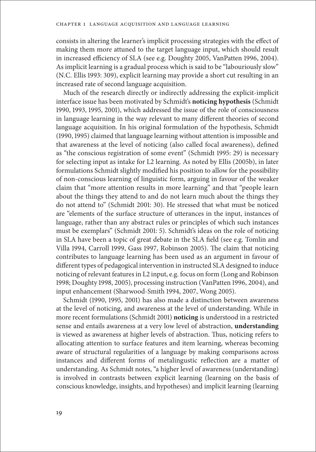consists in altering the learner's implicit processing strategies with the effect of making them more attuned to the target language input, which should result in increased efficiency of SLA (see e.g. Doughty 2005, VanPatten 1996, 2004). As implicit learning is a gradual process which is said to be "labouriously slow" (N.C. Ellis 1993: 309), explicit learning may provide a short cut resulting in an increased rate of second language acquisition.

Much of the research directly or indirectly addressing the explicit-implicit interface issue has been motivated by Schmidt's **noticing hypothesis** (Schmidt 1990, 1993, 1995, 2001), which addressed the issue of the role of consciousness in language learning in the way relevant to many different theories of second language acquisition. In his original formulation of the hypothesis, Schmidt (1990, 1995) claimed that language learning without attention is impossible and that awareness at the level of noticing (also called focal awareness), defined as "the conscious registration of some event" (Schmidt 1995: 29) is necessary for selecting input as intake for L2 learning. As noted by Ellis (2005b), in later formulations Schmidt slightly modified his position to allow for the possibility of non-conscious learning of linguistic form, arguing in favour of the weaker claim that "more attention results in more learning" and that "people learn about the things they attend to and do not learn much about the things they do not attend to" (Schmidt 2001: 30). He stressed that what must be noticed are "elements of the surface structure of utterances in the input, instances of language, rather than any abstract rules or principles of which such instances must be exemplars" (Schmidt 2001: 5). Schmidt's ideas on the role of noticing in SLA have been a topic of great debate in the SLA field (see e.g. Tomlin and Villa 1994, Carroll 1999, Gass 1997, Robinson 2005). The claim that noticing contributes to language learning has been used as an argument in favour of different types of pedagogical intervention in instructed SLA designed to induce noticing of relevant features in L2 input, e.g. focus on form (Long and Robinson 1998; Doughty 1998, 2005), processing instruction (VanPatten 1996, 2004), and input enhancement (Sharwood-Smith 1994, 2007, Wong 2005).

Schmidt (1990, 1995, 2001) has also made a distinction between awareness at the level of noticing, and awareness at the level of understanding. While in more recent formulations (Schmidt 2001) **noticing** is understood in a restricted sense and entails awareness at a very low level of abstraction, **understanding** is viewed as awareness at higher levels of abstraction. Thus, noticing refers to allocating attention to surface features and item learning, whereas becoming aware of structural regularities of a language by making comparisons across instances and different forms of metalingustic reflection are a matter of understanding. As Schmidt notes, "a higher level of awareness (understanding) is involved in contrasts between explicit learning (learning on the basis of conscious knowledge, insights, and hypotheses) and implicit learning (learning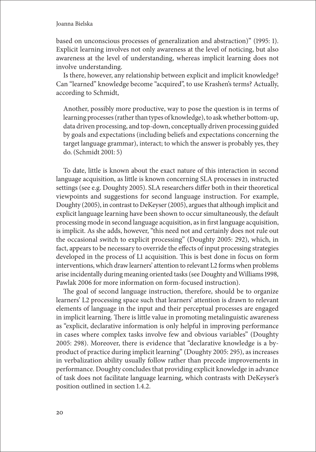based on unconscious processes of generalization and abstraction)" (1995: 1). Explicit learning involves not only awareness at the level of noticing, but also awareness at the level of understanding, whereas implicit learning does not involve understanding.

Is there, however, any relationship between explicit and implicit knowledge? Can "learned" knowledge become "acquired", to use Krashen's terms? Actually, according to Schmidt,

Another, possibly more productive, way to pose the question is in terms of learning processes (rather than types of knowledge), to ask whether bottom-up, data driven processing, and top-down, conceptually driven processing guided by goals and expectations (including beliefs and expectations concerning the target language grammar), interact; to which the answer is probably yes, they do. (Schmidt 2001: 5)

To date, little is known about the exact nature of this interaction in second language acquisition, as little is known concerning SLA processes in instructed settings (see e.g. Doughty 2005). SLA researchers differ both in their theoretical viewpoints and suggestions for second language instruction. For example, Doughty (2005), in contrast to DeKeyser (2005), argues that although implicit and explicit language learning have been shown to occur simultaneously, the default processing mode in second language acquisition, as in first language acquisition, is implicit. As she adds, however, "this need not and certainly does not rule out the occasional switch to explicit processing" (Doughty 2005: 292), which, in fact, appears to be necessary to override the effects of input processing strategies developed in the process of L1 acquisition. This is best done in focus on form interventions, which draw learners' attention to relevant L2 forms when problems arise incidentally during meaning oriented tasks (see Doughty and Williams 1998, Pawlak 2006 for more information on form-focused instruction).

The goal of second language instruction, therefore, should be to organize learners' L2 processing space such that learners' attention is drawn to relevant elements of language in the input and their perceptual processes are engaged in implicit learning. There is little value in promoting metalinguistic awareness as "explicit, declarative information is only helpful in improving performance in cases where complex tasks involve few and obvious variables" (Doughty 2005: 298). Moreover, there is evidence that "declarative knowledge is a byproduct of practice during implicit learning" (Doughty 2005: 295), as increases in verbalization ability usually follow rather than precede improvements in performance. Doughty concludes that providing explicit knowledge in advance of task does not facilitate language learning, which contrasts with DeKeyser's position outlined in section 1.4.2.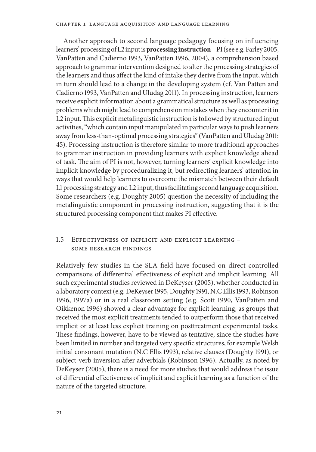Another approach to second language pedagogy focusing on influencing learners' processing of L2 input is **processing instruction** – PI (see e.g. Farley 2005, VanPatten and Cadierno 1993, VanPatten 1996, 2004), a comprehension based approach to grammar intervention designed to alter the processing strategies of the learners and thus affect the kind of intake they derive from the input, which in turn should lead to a change in the developing system (cf. Van Patten and Cadierno 1993, VanPatten and Uludag 2011). In processing instruction, learners receive explicit information about a grammatical structure as well as processing problems which might lead to comprehension mistakes when they encounter it in L2 input. This explicit metalinguistic instruction is followed by structured input activities, "which contain input manipulated in particular ways to push learners away from less-than-optimal processing strategies" (VanPatten and Uludag 2011: 45). Processing instruction is therefore similar to more traditional approaches to grammar instruction in providing learners with explicit knowledge ahead of task. The aim of PI is not, however, turning learners' explicit knowledge into implicit knowledge by proceduralizing it, but redirecting learners' attention in ways that would help learners to overcome the mismatch between their default L1 processing strategy and L2 input, thus facilitating second language acquisition. Some researchers (e.g. Doughty 2005) question the necessity of including the metalinguistic component in processing instruction, suggesting that it is the structured processing component that makes PI effective.

# 1.5 Effectiveness of implicit and explicit learning – some research findings

Relatively few studies in the SLA field have focused on direct controlled comparisons of differential effectiveness of explicit and implicit learning. All such experimental studies reviewed in DeKeyser (2005), whether conducted in a laboratory context (e.g. DeKeyser 1995, Doughty 1991, N.C Ellis 1993, Robinson 1996, 1997a) or in a real classroom setting (e.g. Scott 1990, VanPatten and Oikkenon 1996) showed a clear advantage for explicit learning, as groups that received the most explicit treatments tended to outperform those that received implicit or at least less explicit training on posttreatment experimental tasks. These findings, however, have to be viewed as tentative, since the studies have been limited in number and targeted very specific structures, for example Welsh initial consonant mutation (N.C Ellis 1993), relative clauses (Doughty 1991), or subject-verb inversion after adverbials (Robinson 1996). Actually, as noted by DeKeyser (2005), there is a need for more studies that would address the issue of differential effectiveness of implicit and explicit learning as a function of the nature of the targeted structure.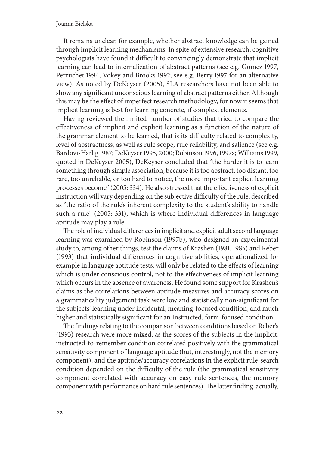It remains unclear, for example, whether abstract knowledge can be gained through implicit learning mechanisms. In spite of extensive research, cognitive psychologists have found it difficult to convincingly demonstrate that implicit learning can lead to internalization of abstract patterns (see e.g. Gomez 1997, Perruchet 1994, Vokey and Brooks 1992; see e.g. Berry 1997 for an alternative view). As noted by DeKeyser (2005), SLA researchers have not been able to show any significant unconscious learning of abstract patterns either. Although this may be the effect of imperfect research methodology, for now it seems that implicit learning is best for learning concrete, if complex, elements.

Having reviewed the limited number of studies that tried to compare the effectiveness of implicit and explicit learning as a function of the nature of the grammar element to be learned, that is its difficulty related to complexity, level of abstractness, as well as rule scope, rule reliability, and salience (see e.g. Bardovi-Harlig 1987; DeKeyser 1995, 2000; Robinson 1996, 1997a; Williams 1999, quoted in DeKeyser 2005), DeKeyser concluded that "the harder it is to learn something through simple association, because it is too abstract, too distant, too rare, too unreliable, or too hard to notice, the more important explicit learning processes become" (2005: 334). He also stressed that the effectiveness of explicit instruction will vary depending on the subjective difficulty of the rule, described as "the ratio of the rule's inherent complexity to the student's ability to handle such a rule" (2005: 331), which is where individual differences in language aptitude may play a role.

The role of individual differences in implicit and explicit adult second language learning was examined by Robinson (1997b), who designed an experimental study to, among other things, test the claims of Krashen (1981, 1985) and Reber (1993) that individual differences in cognitive abilities, operationalized for example in language aptitude tests, will only be related to the effects of learning which is under conscious control, not to the effectiveness of implicit learning which occurs in the absence of awareness. He found some support for Krashen's claims as the correlations between aptitude measures and accuracy scores on a grammaticality judgement task were low and statistically non-significant for the subjects' learning under incidental, meaning-focused condition, and much higher and statistically significant for an Instructed, form-focused condition.

The findings relating to the comparison between conditions based on Reber's (1993) research were more mixed, as the scores of the subjects in the implicit, instructed-to-remember condition correlated positively with the grammatical sensitivity component of language aptitude (but, interestingly, not the memory component), and the aptitude/accuracy correlations in the explicit rule-search condition depended on the difficulty of the rule (the grammatical sensitivity component correlated with accuracy on easy rule sentences, the memory component with performance on hard rule sentences). The latter finding, actually,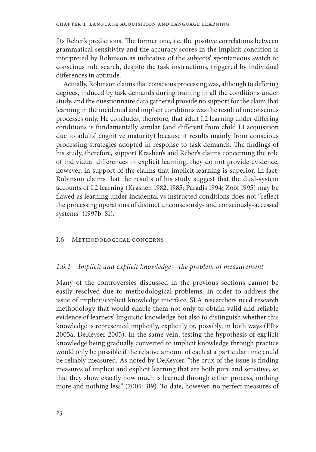fits Reber's predictions. The former one, i.e. the positive correlations between grammatical sensitivity and the accuracy scores in the implicit condition is interpreted by Robinson as indicative of the subjects' spontaneous switch to conscious rule search, despite the task instructions, triggered by individual differences in aptitude.

Actually, Robinson claims that conscious processing was, although to differing degrees, induced by task demands during training in all the conditions under study, and the questionnaire data gathered provide no support for the claim that learning in the incidental and implicit conditions was the result of unconscious processes only. He concludes, therefore, that adult L2 learning under differing conditions is fundamentally similar (and different from child L1 acquisition due to adults' cognitive maturity) because it results mainly from conscious processing strategies adopted in response to task demands. The findings of his study, therefore, support Krashen's and Reber's claims concerning the role of individual differences in explicit learning, they do not provide evidence, however, in support of the claims that implicit learning is superior. In fact, Robinson claims that the results of his study suggest that the dual-system accounts of L2 learning (Krashen 1982, 1985; Paradis 1994; Zobl 1995) may be flawed as learning under incidental vs instructed conditions does not "reflect the processing operations of distinct unconsciously- and consciously-accessed systems" (1997b: 81).

#### 1.6 Methodological concerns

## *1.6.1 Implicit and explicit knowledge – the problem of measurement*

Many of the controversies discussed in the previous sections cannot be easily resolved due to methodological problems. In order to address the issue of implicit/explicit knowledge interface, SLA researchers need research methodology that would enable them not only to obtain valid and reliable evidence of learners' linguistic knowledge but also to distinguish whether this knowledge is represented implicitly, explicitly or, possibly, in both ways (Ellis 2005a, DeKeyser 2005). In the same vein, testing the hypothesis of explicit knowledge being gradually converted to implicit knowledge through practice would only be possible if the relative amount of each at a particular time could be reliably measured. As noted by DeKeyser, "the crux of the issue is finding measures of implicit and explicit learning that are both pure and sensitive, so that they show exactly how much is learned through either process, nothing more and nothing less" (2005: 319). To date, however, no perfect measures of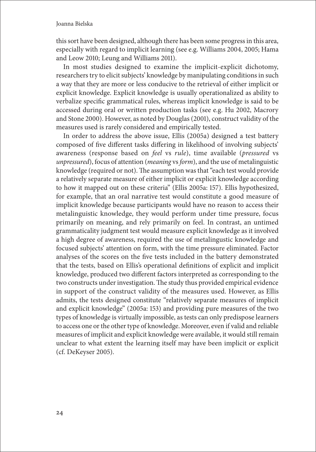this sort have been designed, although there has been some progress in this area, especially with regard to implicit learning (see e.g. Williams 2004, 2005; Hama and Leow 2010; Leung and Williams 2011).

In most studies designed to examine the implicit-explicit dichotomy, researchers try to elicit subjects' knowledge by manipulating conditions in such a way that they are more or less conducive to the retrieval of either implicit or explicit knowledge. Explicit knowledge is usually operationalized as ability to verbalize specific grammatical rules, whereas implicit knowledge is said to be accessed during oral or written production tasks (see e.g. Hu 2002, Macrory and Stone 2000). However, as noted by Douglas (2001), construct validity of the measures used is rarely considered and empirically tested.

In order to address the above issue, Ellis (2005a) designed a test battery composed of five different tasks differing in likelihood of involving subjects' awareness (response based on *feel* vs *rule*), time available (*pressured* vs *unpressured*), focus of attention (*meaning* vs *form*), and the use of metalinguistic knowledge (required or not). The assumption was that "each test would provide a relatively separate measure of either implicit or explicit knowledge according to how it mapped out on these criteria" (Ellis 2005a: 157). Ellis hypothesized, for example, that an oral narrative test would constitute a good measure of implicit knowledge because participants would have no reason to access their metalinguistic knowledge, they would perform under time pressure, focus primarily on meaning, and rely primarily on feel. In contrast, an untimed grammaticality judgment test would measure explicit knowledge as it involved a high degree of awareness, required the use of metalingustic knowledge and focused subjects' attention on form, with the time pressure eliminated. Factor analyses of the scores on the five tests included in the battery demonstrated that the tests, based on Ellis's operational definitions of explicit and implicit knowledge, produced two different factors interpreted as corresponding to the two constructs under investigation. The study thus provided empirical evidence in support of the construct validity of the measures used. However, as Ellis admits, the tests designed constitute "relatively separate measures of implicit and explicit knowledge" (2005a: 153) and providing pure measures of the two types of knowledge is virtually impossible, as tests can only predispose learners to access one or the other type of knowledge. Moreover, even if valid and reliable measures of implicit and explicit knowledge were available, it would still remain unclear to what extent the learning itself may have been implicit or explicit (cf. DeKeyser 2005).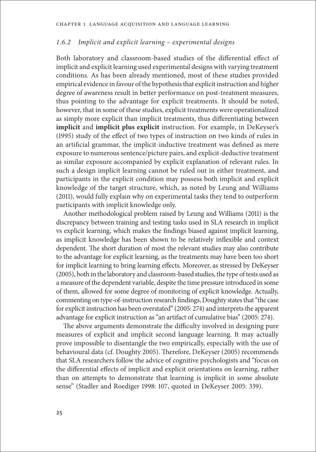# *1.6.2 Implicit and explicit learning – experimental designs*

Both laboratory and classroom-based studies of the differential effect of implicit and explicit learning used experimental designs with varying treatment conditions. As has been already mentioned, most of these studies provided empirical evidence in favour of the hypothesis that explicit instruction and higher degree of awareness result in better performance on post-treatment measures, thus pointing to the advantage for explicit treatments. It should be noted, however, that in some of these studies, explicit treatments were operationalized as simply more explicit than implicit treatments, thus differentiating between **implicit** and **implicit plus explicit** instruction. For example, in DeKeyser's (1995) study of the effect of two types of instruction on two kinds of rules in an artificial grammar, the implicit-inductive treatment was defined as mere exposure to numerous sentence/picture pairs, and explicit-deductive treatment as similar exposure accompanied by explicit explanation of relevant rules. In such a design implicit learning cannot be ruled out in either treatment, and participants in the explicit condition may possess both implicit and explicit knowledge of the target structure, which, as noted by Leung and Williams (2011), would fully explain why on experimental tasks they tend to outperform participants with implicit knowledge only.

Another methodological problem raised by Leung and Williams (2011) is the discrepancy between training and testing tasks used in SLA research in implicit vs explicit learning, which makes the findings biased against implicit learning, as implicit knowledge has been shown to be relatively inflexible and context dependent. The short duration of most the relevant studies may also contribute to the advantage for explicit learning, as the treatments may have been too short for implicit learning to bring learning effects. Moreover, as stressed by DeKeyser (2005), both in the laboratory and classroom-based studies, the type of tests used as a measure of the dependent variable, despite the time pressure introduced in some of them, allowed for some degree of monitoring of explicit knowledge. Actually, commenting on type-of-instruction research findings, Doughty states that "the case for explicit instruction has been overstated" (2005: 274) and interprets the apparent advantage for explicit instruction as "an artifact of cumulative bias" (2005: 274).

The above arguments demonstrate the difficulty involved in designing pure measures of explicit and implicit second language learning. It may actually prove impossible to disentangle the two empirically, especially with the use of behavioural data (cf. Doughty 2005). Therefore, DeKeyser (2005) recommends that SLA researchers follow the advice of cognitive psychologists and "focus on the differential effects of implicit and explicit orientations on learning, rather than on attempts to demonstrate that learning is implicit in some absolute sense" (Stadler and Roediger 1998: 107, quoted in DeKeyser 2005: 339).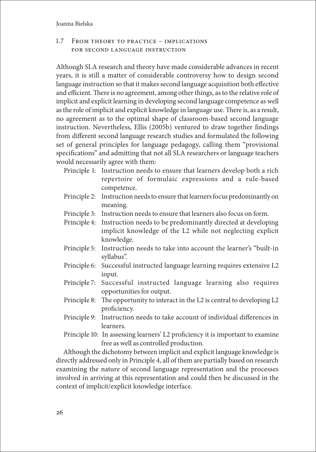# 1.7 From theory to practice – implications for second language instruction

Although SLA research and theory have made considerable advances in recent years, it is still a matter of considerable controversy how to design second language instruction so that it makes second language acquisition both effective and efficient. There is no agreement, among other things, as to the relative role of implicit and explicit learning in developing second language competence as well as the role of implicit and explicit knowledge in language use. There is, as a result, no agreement as to the optimal shape of classroom-based second language instruction. Nevertheless, Ellis (2005b) ventured to draw together findings from different second language research studies and formulated the following set of general principles for language pedagogy, calling them "provisional specifications" and admitting that not all SLA researchers or language teachers would necessarily agree with them:

- Principle 1: Instruction needs to ensure that learners develop both a rich repertoire of formulaic expressions and a rule-based competence.
- Principle 2: Instruction needs to ensure that learners focus predominantly on meaning.
- Principle 3: Instruction needs to ensure that learners also focus on form.
- Principle 4: Instruction needs to be predominantly directed at developing implicit knowledge of the L2 while not neglecting explicit knowledge.
- Principle 5: Instruction needs to take into account the learner's "built-in syllabus".
- Principle 6: Successful instructed language learning requires extensive L2 input.
- Principle 7: Successful instructed language learning also requires opportunities for output.
- Principle 8: The opportunity to interact in the L2 is central to developing L2 proficiency.
- Principle 9: Instruction needs to take account of individual differences in learners.
- Principle 10: In assessing learners' L2 proficiency it is important to examine free as well as controlled production.

Although the dichotomy between implicit and explicit language knowledge is directly addressed only in Principle 4, all of them are partially based on research examining the nature of second language representation and the processes involved in arriving at this representation and could then be discussed in the context of implicit/explicit knowledge interface.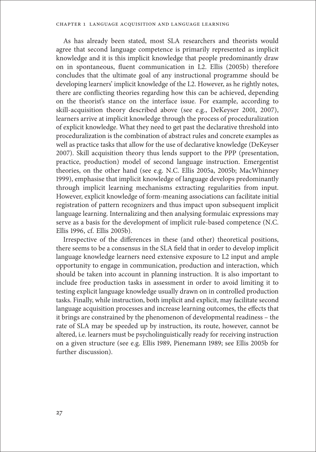As has already been stated, most SLA researchers and theorists would agree that second language competence is primarily represented as implicit knowledge and it is this implicit knowledge that people predominantly draw on in spontaneous, fluent communication in L2. Ellis (2005b) therefore concludes that the ultimate goal of any instructional programme should be developing learners' implicit knowledge of the L2. However, as he rightly notes, there are conflicting theories regarding how this can be achieved, depending on the theorist's stance on the interface issue. For example, according to skill-acquisition theory described above (see e.g., DeKeyser 2001, 2007), learners arrive at implicit knowledge through the process of proceduralization of explicit knowledge. What they need to get past the declarative threshold into proceduralization is the combination of abstract rules and concrete examples as well as practice tasks that allow for the use of declarative knowledge (DeKeyser 2007). Skill acquisition theory thus lends support to the PPP (presentation, practice, production) model of second language instruction. Emergentist theories, on the other hand (see e.g. N.C. Ellis 2005a, 2005b; MacWhinney 1999), emphasise that implicit knowledge of language develops predominantly through implicit learning mechanisms extracting regularities from input. However, explicit knowledge of form-meaning associations can facilitate initial registration of pattern recognizers and thus impact upon subsequent implicit language learning. Internalizing and then analysing formulaic expressions may serve as a basis for the development of implicit rule-based competence (N.C. Ellis 1996, cf. Ellis 2005b).

Irrespective of the differences in these (and other) theoretical positions, there seems to be a consensus in the SLA field that in order to develop implicit language knowledge learners need extensive exposure to L2 input and ample opportunity to engage in communication, production and interaction, which should be taken into account in planning instruction. It is also important to include free production tasks in assessment in order to avoid limiting it to testing explicit language knowledge usually drawn on in controlled production tasks. Finally, while instruction, both implicit and explicit, may facilitate second language acquisition processes and increase learning outcomes, the effects that it brings are constrained by the phenomenon of developmental readiness – the rate of SLA may be speeded up by instruction, its route, however, cannot be altered, i.e. learners must be psycholinguistically ready for receiving instruction on a given structure (see e.g. Ellis 1989, Pienemann 1989; see Ellis 2005b for further discussion).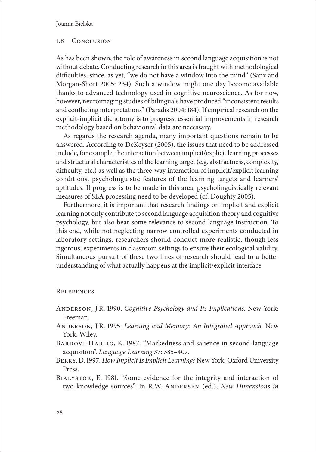## 1.8 Conclusion

As has been shown, the role of awareness in second language acquisition is not without debate. Conducting research in this area is fraught with methodological difficulties, since, as yet, "we do not have a window into the mind" (Sanz and Morgan-Short 2005: 234). Such a window might one day become available thanks to advanced technology used in cognitive neuroscience. As for now, however, neuroimaging studies of bilinguals have produced "inconsistent results and conflicting interpretations" (Paradis 2004: 184). If empirical research on the explicit-implicit dichotomy is to progress, essential improvements in research methodology based on behavioural data are necessary.

As regards the research agenda, many important questions remain to be answered. According to DeKeyser (2005), the issues that need to be addressed include, for example, the interaction between implicit/explicit learning processes and structural characteristics of the learning target (e.g. abstractness, complexity, difficulty, etc.) as well as the three-way interaction of implicit/explicit learning conditions, psycholinguistic features of the learning targets and learners' aptitudes. If progress is to be made in this area, psycholinguistically relevant measures of SLA processing need to be developed (cf. Doughty 2005).

Furthermore, it is important that research findings on implicit and explicit learning not only contribute to second language acquisition theory and cognitive psychology, but also bear some relevance to second language instruction. To this end, while not neglecting narrow controlled experiments conducted in laboratory settings, researchers should conduct more realistic, though less rigorous, experiments in classroom settings to ensure their ecological validity. Simultaneous pursuit of these two lines of research should lead to a better understanding of what actually happens at the implicit/explicit interface.

## **REFERENCES**

- Anderson, J.R. 1990. *Cognitive Psychology and Its Implications.* New York: Freeman.
- Anderson, J.R. 1995. *Learning and Memory: An Integrated Approach.* New York: Wiley.
- BARDOVI-HARLIG, K. 1987. "Markedness and salience in second-language acquisition". *Language Learning* 37: 385–407.
- Berry, D. 1997. *How Implicit Is Implicit Learning?* New York: Oxford University Press.
- Bialystok, E. 1981. "Some evidence for the integrity and interaction of two knowledge sources". In R.W. Andersen (ed.), *New Dimensions in*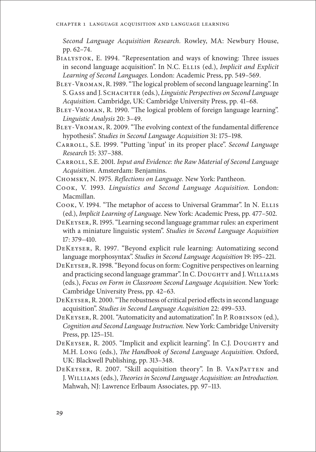*Second Language Acquisition Research.* Rowley, MA: Newbury House, pp. 62–74.

- Bialystok, E. 1994. "Representation and ways of knowing: Three issues in second language acquisition". In N.C. ELLIS (ed.), *Implicit and Explicit Learning of Second Languages.* London: Academic Press, pp. 549–569.
- Bley-Vroman, R. 1989. "The logical problem of second language learning". In S. Gass and J. Schachter (eds.), *Linguistic Perspectives on Second Language Acquisition.* Cambridge, UK: Cambridge University Press, pp. 41–68.
- BLEY-VROMAN, R. 1990. "The logical problem of foreign language learning". *Linguistic Analysis* 20: 3–49.
- Bley-Vroman, R. 2009. "The evolving context of the fundamental difference hypothesis". *Studies in Second Language Acquisition* 31: 175–198.
- Carroll, S.E. 1999. "Putting 'input' in its proper place". *Second Language Research* 15: 337–388.
- Carroll, S.E. 2001. *Input and Evidence: the Raw Material of Second Language Acquisition.* Amsterdam: Benjamins.
- Chomsky, N. 1975. *Reflections on Language.* New York: Pantheon.
- Cook, V. 1993. *Linguistics and Second Language Acquisition.* London: Macmillan.
- Cook, V. 1994. "The metaphor of access to Universal Grammar". In N. Ellis (ed.), *Implicit Learning of Language.* New York: Academic Press, pp. 477–502.
- DeKeyser, R. 1995. "Learning second language grammar rules: an experiment with a miniature linguistic system". *Studies in Second Language Acquisition*  17: 379–410.
- DeKeyser, R. 1997. "Beyond explicit rule learning: Automatizing second language morphosyntax". *Studies in Second Language Acquisition* 19: 195–221.
- DeKeyser, R. 1998. "Beyond focus on form: Cognitive perspectives on learning and practicing second language grammar". In C. DOUGHTY and J. WILLIAMS (eds.), *Focus on Form in Classroom Second Language Acquisition.* New York: Cambridge University Press, pp. 42–63.
- DeKeyser, R. 2000. "The robustness of critical period effects in second language acquisition". *Studies in Second Language Acquisition* 22: 499–533.
- DeKeyser, R. 2001. "Automaticity and automatization". In P. Robinson (ed.), *Cognition and Second Language Instruction.* New York: Cambridge University Press, pp. 125–151.
- DEKEYSER, R. 2005. "Implicit and explicit learning". In C.J. DOUGHTY and M.H. Long (eds.), *The Handbook of Second Language Acquisition.* Oxford, UK: Blackwell Publishing, pp. 313–348.
- DEKEYSER, R. 2007. "Skill acquisition theory". In B. VANPATTEN and J. Williams (eds.), *Theories in Second Language Acquisition: an Introduction.*  Mahwah, NJ: Lawrence Erlbaum Associates, pp. 97–113.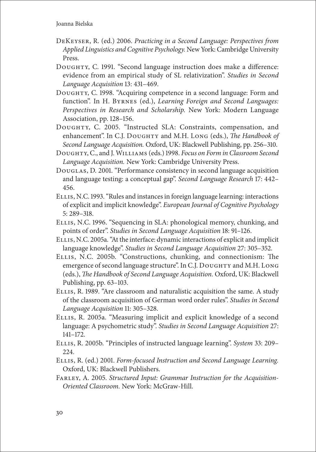- DeKeyser, R. (ed.) 2006. *Practicing in a Second Language: Perspectives from Applied Linguistics and Cognitive Psychology.* New York: Cambridge University Press.
- Doughty, C. 1991. "Second language instruction does make a difference: evidence from an empirical study of SL relativization". *Studies in Second Language Acquisition* 13: 431–469.
- Doughty, C. 1998. "Acquiring competence in a second language: Form and function". In H. Byrnes (ed.), *Learning Foreign and Second Languages: Perspectives in Research and Scholarship.* New York: Modern Language Association, pp. 128–156.
- Doughty, C. 2005. "Instructed SLA: Constraints, compensation, and enhancement". In C.J. Doughty and M.H. Long (eds.), *The Handbook of Second Language Acquisition.* Oxford, UK: Blackwell Publishing, pp. 256–310.
- Doughty, C., and J. Williams (eds.) 1998. *Focus on Form in Classroom Second Language Acquisition.* New York: Cambridge University Press.
- Douglas, D. 2001. "Performance consistency in second language acquisition and language testing: a conceptual gap". *Second Language Research* 17: 442– 456.
- Ellis, N.C. 1993. "Rules and instances in foreign language learning: interactions of explicit and implicit knowledge". *European Journal of Cognitive Psychology*  5: 289–318.
- Ellis, N.C. 1996. "Sequencing in SLA: phonological memory, chunking, and points of order". *Studies in Second Language Acquisition* 18: 91–126.
- Ellis, N.C. 2005a. "At the interface: dynamic interactions of explicit and implicit language knowledge". *Studies in Second Language Acquisition* 27: 305–352.
- Ellis, N.C. 2005b. "Constructions, chunking, and connectionism: The emergence of second language structure". In C.J. DOUGHTY and M.H. LONG (eds.), *The Handbook of Second Language Acquisition.* Oxford, UK: Blackwell Publishing, pp. 63–103.
- Ellis, R. 1989. "Are classroom and naturalistic acquisition the same. A study of the classroom acquisition of German word order rules". *Studies in Second Language Acquisition* 11: 305–328.
- Ellis, R. 2005a. "Measuring implicit and explicit knowledge of a second language: A psychometric study". *Studies in Second Language Acquisition* 27: 141–172.
- Ellis, R. 2005b. "Principles of instructed language learning". *System* 33: 209– 224.
- Ellis, R. (ed.) 2001. *Form-focused Instruction and Second Language Learning.*  Oxford, UK: Blackwell Publishers.
- Farley, A. 2005. *Structured Input: Grammar Instruction for the Acquisition-Oriented Classroom.* New York: McGraw-Hill.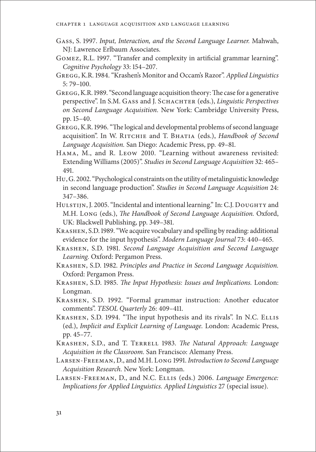- Gass, S. 1997. *Input, Interaction, and the Second Language Learner.* Mahwah, NJ: Lawrence Erlbaum Associates.
- Gomez, R.L. 1997. "Transfer and complexity in artificial grammar learning". *Cognitive Psychology* 33: 154–207.
- Gregg, K.R. 1984. "Krashen's Monitor and Occam's Razor". *Applied Linguistics* 5: 79–100.
- Gregg, K.R. 1989. "Second language acquisition theory: The case for a generative perspective". In S.M. Gass and J. Schachter (eds.), *Linguistic Perspectives on Second Language Acquisition.* New York: Cambridge University Press, pp. 15–40.
- GREGG, K.R. 1996. "The logical and developmental problems of second language acquisition". In W. Ritchie and T. Bhatia (eds.), *Handbook of Second Language Acquisition.* San Diego: Academic Press, pp. 49–81.
- Hama, M., and R. Leow 2010. "Learning without awareness revisited: Extending Williams (2005)". *Studies in Second Language Acquisition* 32: 465– 491.
- Hu, G. 2002. "Psychological constraints on the utility of metalinguistic knowledge in second language production". *Studies in Second Language Acquisition* 24: 347–386.
- HULSTIJN, J. 2005. "Incidental and intentional learning." In: C.J. DOUGHTY and M.H. Long (eds.), *The Handbook of Second Language Acquisition.* Oxford, UK: Blackwell Publishing, pp. 349–381.
- Krashen, S.D. 1989. "We acquire vocabulary and spelling by reading: additional evidence for the input hypothesis". *Modern Language Journal* 73: 440–465.
- Krashen, S.D. 1981. *Second Language Acquisition and Second Language Learning.* Oxford: Pergamon Press.
- Krashen, S.D. 1982. *Principles and Practice in Second Language Acquisition.*  Oxford: Pergamon Press.
- Krashen, S.D. 1985. *The Input Hypothesis: Issues and Implications.* London: Longman.
- Krashen, S.D. 1992. "Formal grammar instruction: Another educator comments". *TESOL Quarterly* 26: 409–411.
- Krashen, S.D. 1994. "The input hypothesis and its rivals". In N.C. Ellis (ed.), *Implicit and Explicit Learning of Language.* London: Academic Press, pp. 45–77.
- Krashen, S.D., and T. Terrell 1983. *The Natural Approach: Language Acquisition in the Classroom.* San Francisco: Alemany Press.
- Larsen-Freeman, D., and M.H. Long 1991. *Introduction to Second Language Acquisition Research.* New York: Longman.
- Larsen-Freeman, D., and N.C. Ellis (eds.) 2006. *Language Emergence: Implications for Applied Linguistics. Applied Linguistics* 27 (special issue).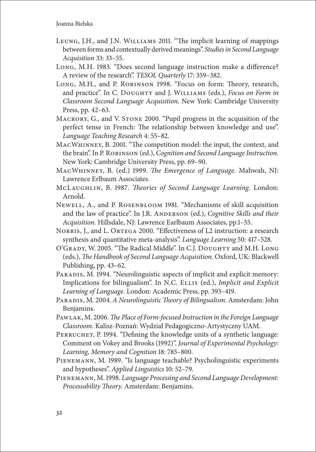- Leung, J.H., and J.N. Williams 2011. "The implicit learning of mappings between forms and contextually derived meanings". *Studies in Second Language Acquisition* 33: 33–55.
- Long, M.H. 1983. "Does second language instruction make a difference? A review of the research". *TESOL Quarterly* 17: 359–382.
- Long, M.H., and P. Robinson 1998. "Focus on form: Theory, research, and practice". In C. Doughty and J. Williams (eds.), *Focus on Form in Classroom Second Language Acquisition.* New York: Cambridge University Press, pp. 42–63.
- MACRORY, G., and V. STONE 2000. "Pupil progress in the acquisition of the perfect tense in French: The relationship between knowledge and use". *Language Teaching Research* 4: 55–82.
- MacWhinney, B. 2001. "The competition model: the input, the context, and the brain". In P. Robinson (ed.), *Cognition and Second Language Instruction.*  New York: Cambridge University Press, pp. 69–90.
- MacWhinney, B. (ed.) 1999. *The Emergence of Language.* Mahwah, NJ: Lawrence Erlbaum Associates.
- McLaughlin, B. 1987. *Theories of Second Language Learning.* London: Arnold.
- Newell, A., and P. Rosenbloom 1981. "Mechanisms of skill acquisition and the law of practice". In J.R. Anderson (ed.), *Cognitive Skills and their Acquisition.* Hillsdale, NJ: Lawrence Earlbaum Associates, pp.1–55.
- Norris, J., and L. Ortega 2000. "Effectiveness of L2 instruction: a research synthesis and quantitative meta-analysis". *Language Learning* 50: 417–528.
- O'Grady, W. 2005. "The Radical Middle". In C.J. Doughty and M.H. Long (eds.), *The Handbook of Second Language Acquisition.* Oxford, UK: Blackwell Publishing, pp. 43–62.
- PARADIS, M. 1994. "Neurolinguistic aspects of implicit and explicit memory: Implications for bilingualism". In N.C. ELLIS (ed.), *Implicit and Explicit Learning of Language.* London: Academic Press, pp. 393–419.
- Paradis, M. 2004. *A Neurolinguistic Theory of Bilingualism.* Amsterdam: John Benjamins.
- Pawlak, M. 2006. *The Place of Form-focused Instruction in the Foreign Language Classroom.* Kalisz-Poznań: Wydział Pedagogiczno-Artystyczny UAM.
- PERRUCHET, P. 1994. "Defining the knowledge units of a synthetic language: Comment on Vokey and Brooks (1992)". *Journal of Experimental Psychology: Learning, Memory and Cognition* 18: 785–800.
- Pienemann, M. 1989. "Is language teachable? Psycholinguistic experiments and hypotheses". *Applied Linguistics* 10: 52–79.
- Pienemann, M. 1998. *Language Processing and Second Language Development: Processability Theory.* Amsterdam: Benjamins.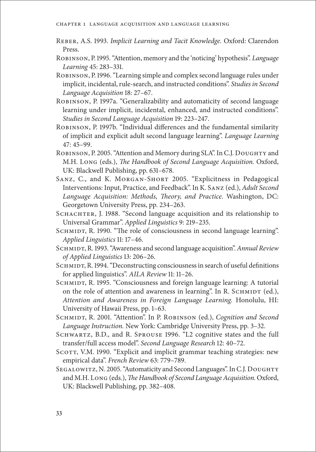- Reber, A.S. 1993. *Implicit Learning and Tacit Knowledge.* Oxford: Clarendon Press.
- Robinson, P. 1995. "Attention, memory and the 'noticing' hypothesis". *Language Learning* 45: 283–331.
- Robinson, P. 1996. "Learning simple and complex second language rules under implicit, incidental, rule-search, and instructed conditions". *Studies in Second Language Acquisition* 18: 27–67.
- ROBINSON, P. 1997a. "Generalizability and automaticity of second language learning under implicit, incidental, enhanced, and instructed conditions". *Studies in Second Language Acquisition* 19: 223–247.
- Robinson, P. 1997b. "Individual differences and the fundamental similarity of implicit and explicit adult second language learning". *Language Learning*  47: 45–99.
- ROBINSON, P. 2005. "Attention and Memory during SLA". In C.J. DOUGHTY and M.H. Long (eds.), *The Handbook of Second Language Acquisition.* Oxford, UK: Blackwell Publishing, pp. 631–678.
- SANZ, C., and K. MORGAN-SHORT 2005. "Explicitness in Pedagogical Interventions: Input, Practice, and Feedback". In K. Sanz (ed.), *Adult Second Language Acquisition: Methods, Theory, and Practice.* Washington, DC: Georgetown University Press, pp. 234–263.
- SCHACHTER, J. 1988. "Second language acquisition and its relationship to Universal Grammar". *Applied Linguistics* 9: 219–235.
- SCHMIDT, R. 1990. "The role of consciousness in second language learning". *Applied Linguistics* 11: 17–46.
- SCHMIDT, R. 1993. "Awareness and second language acquisition". Annual Review *of Applied Linguistics* 13: 206–26.
- SCHMIDT, R. 1994. "Deconstructing consciousness in search of useful definitions for applied linguistics". *AILA Review* 11: 11–26.
- SCHMIDT, R. 1995. "Consciousness and foreign language learning: A tutorial on the role of attention and awareness in learning". In R. SCHMIDT (ed.), *Attention and Awareness in Foreign Language Learning.* Honolulu, HI: University of Hawaii Press, pp. 1–63.
- SCHMIDT, R. 2001. "Attention". In P. ROBINSON (ed.), *Cognition and Second Language Instruction.* New York: Cambridge University Press, pp. 3–32.
- Schwartz, B.D., and R. Sprouse 1996. "L2 cognitive states and the full transfer/full access model". *Second Language Research* 12: 40–72.
- SCOTT, V.M. 1990. "Explicit and implicit grammar teaching strategies: new empirical data". *French Review* 63: 779–789.
- SEGALOWITZ, N. 2005. "Automaticity and Second Languages". In C.J. DOUGHTY and M.H. Long (eds.), *The Handbook of Second Language Acquisition.* Oxford, UK: Blackwell Publishing, pp. 382–408.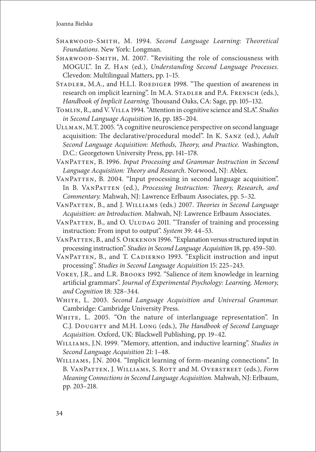- Sharwood-Smith, M. 1994. *Second Language Learning: Theoretical Foundations.* New York: Longman.
- SHARWOOD-SMITH, M. 2007. "Revisiting the role of consciousness with MOGUL". In Z. Han (ed.), *Understanding Second Language Processes.*  Clevedon: Multilingual Matters, pp. 1–15.
- STADLER, M.A., and H.L.I. ROEDIGER 1998. "The question of awareness in research on implicit learning". In M.A. STADLER and P.A. FRENSCH (eds.), *Handbook of Implicit Learning.* Thousand Oaks, CA: Sage, pp. 105–132.
- Tomlin, R., and V. Villa 1994. "Attention in cognitive science and SLA". *Studies in Second Language Acquisition* 16, pp. 185–204.
- Ullman, M.T. 2005. "A cognitive neuroscience perspective on second language acquisition: The declarative/procedural model". In K. Sanz (ed.), *Adult Second Language Acquisition: Methods, Theory, and Practice.* Washington, D.C.: Georgetown University Press, pp. 141–178.
- VanPatten, B. 1996. *Input Processing and Grammar Instruction in Second Language Acquisition: Theory and Research.* Norwood, NJ: Ablex.
- VanPatten, B. 2004. "Input processing in second language acquisition". In B. VANPATTEN (ed.), *Processing Instruction: Theory*, *Research*, and *Commentary.* Mahwah, NJ: Lawrence Erlbaum Associates, pp. 5–32.
- VanPatten, B., and J. Williams (eds.) 2007. *Theories in Second Language Acquisition: an Introduction.* Mahwah, NJ: Lawrence Erlbaum Associates.
- VANPATTEN, B., and O. ULUDAG 2011. "Transfer of training and processing instruction: From input to output". *System* 39: 44–53.
- VANPATTEN, B., and S. OIKKENON 1996. "Explanation versus structured input in processing instruction". *Studies in Second Language Acquisition* 18, pp. 459–510.
- VANPATTEN, B., and T. CADIERNO 1993. "Explicit instruction and input processing". *Studies in Second Language Acquisition* 15: 225–243.
- Vokey, J.R., and L.R. Brooks 1992. "Salience of item knowledge in learning artificial grammars". *Journal of Experimental Psychology: Learning, Memory, and Cognition* 18: 328–344.
- White, L. 2003. *Second Language Acquisition and Universal Grammar.*  Cambridge: Cambridge University Press.
- White, L. 2005. "On the nature of interlanguage representation". In C.J. Doughty and M.H. Long (eds.), *The Handbook of Second Language Acquisition.* Oxford, UK: Blackwell Publishing, pp. 19–42.
- Williams, J.N. 1999. "Memory, attention, and inductive learning". *Studies in Second Language Acquisition* 21: 1–48.
- Williams, J.N. 2004. "Implicit learning of form-meaning connections". In B. VanPatten, J. Williams, S. Rott and M. Overstreet (eds.), *Form Meaning Connections in Second Language Acquisition.* Mahwah, NJ: Erlbaum, pp. 203–218.